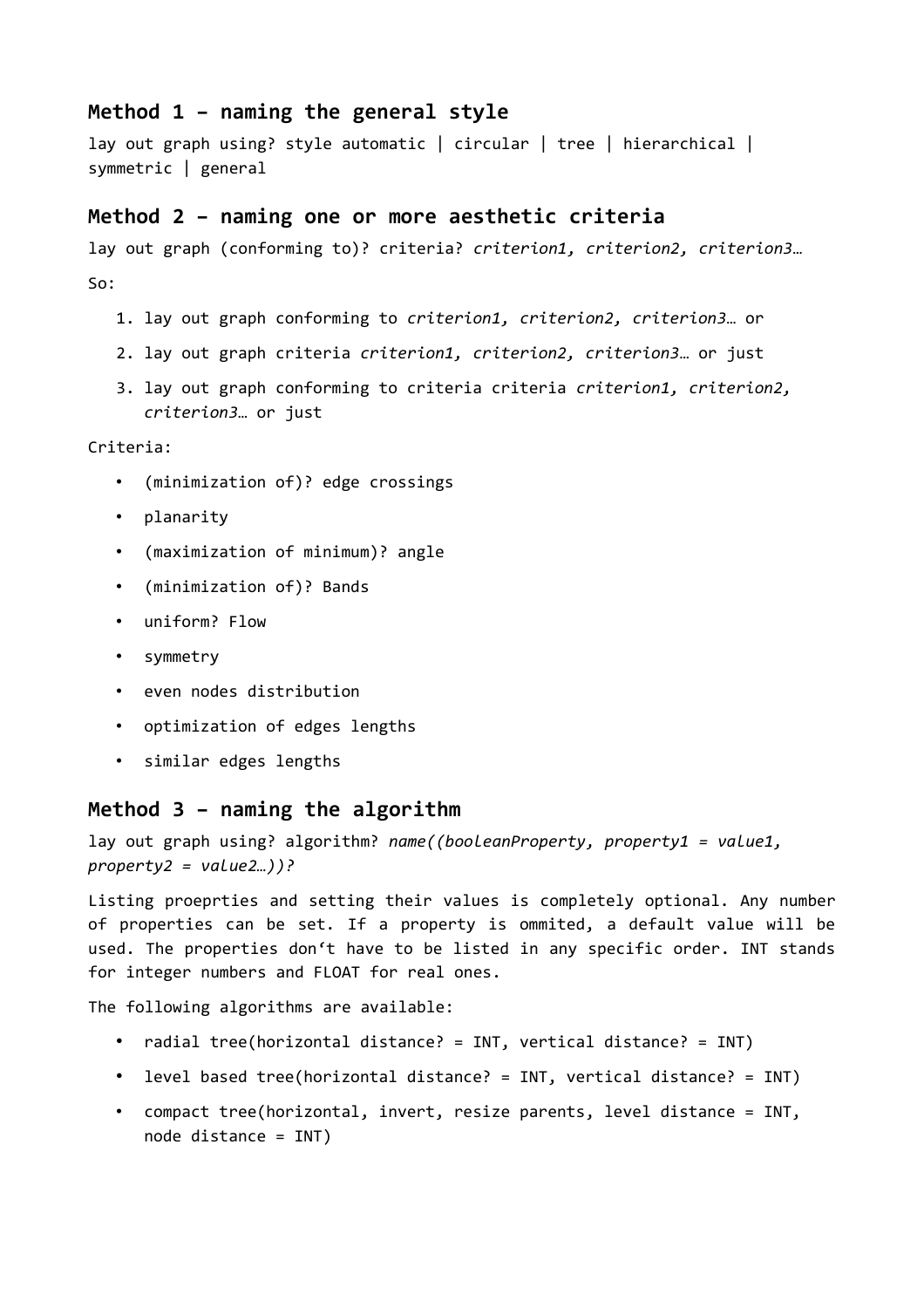## **Method 1 – naming the general style**

lay out graph using? style automatic | circular | tree | hierarchical | symmetric | general

#### **Method 2 – naming one or more aesthetic criteria**

lay out graph (conforming to)? criteria? *criterion1, criterion2, criterion3*…  $S_0$ :

- 1. lay out graph conforming to *criterion1, criterion2, criterion3*… or
- 2. lay out graph criteria *criterion1, criterion2, criterion3*… or just
- 3. lay out graph conforming to criteria criteria *criterion1, criterion2, criterion3*… or just

Criteria:

- (minimization of)? edge crossings
- planarity
- (maximization of minimum)? angle
- (minimization of)? Bands
- uniform? Flow
- symmetry
- even nodes distribution
- optimization of edges lengths
- similar edges lengths

### **Method 3 – naming the algorithm**

lay out graph using? algorithm? *name((booleanProperty, property1 = value1, property2 = value2…))?*

Listing proeprties and setting their values is completely optional. Any number of properties can be set. If a property is ommited, a default value will be used. The properties don't have to be listed in any specific order. INT stands for integer numbers and FLOAT for real ones.

The following algorithms are available:

- radial tree(horizontal distance? = INT, vertical distance? = INT)
- level based tree(horizontal distance? = INT, vertical distance? = INT)
- compact tree(horizontal, invert, resize parents, level distance = INT, node distance = INT)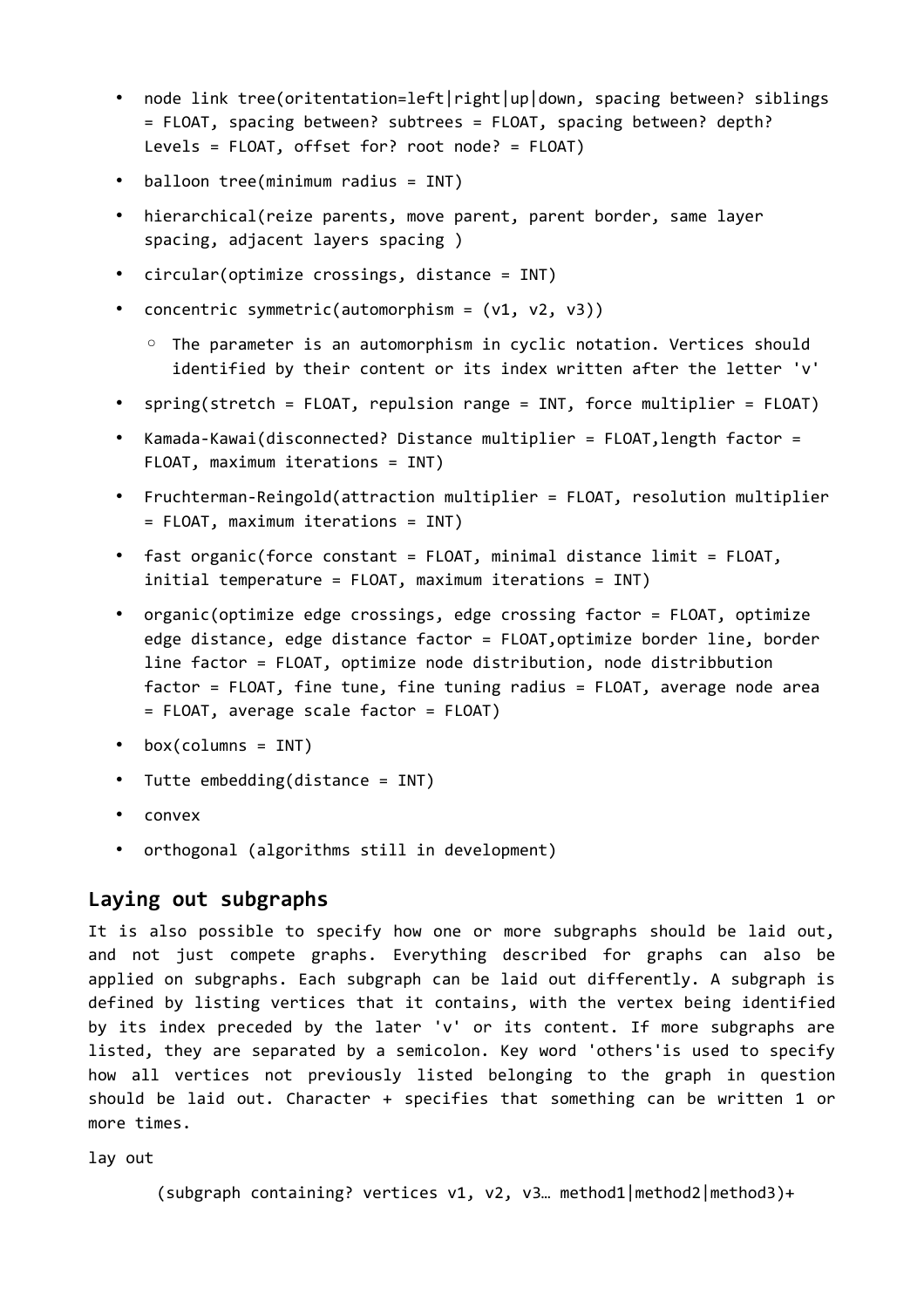- node link tree(oritentation=left|right|up|down, spacing between? siblings = FLOAT, spacing between? subtrees = FLOAT, spacing between? depth? Levels = FLOAT, offset for? root node? = FLOAT)
- balloon tree(minimum radius = INT)
- hierarchical(reize parents, move parent, parent border, same layer spacing, adjacent layers spacing )
- circular(optimize crossings, distance = INT)
- concentric symmetric(automorphism = (v1, v2, v3))
	- The parameter is an automorphism in cyclic notation. Vertices should identified by their content or its index written after the letter 'v'
- spring(stretch = FLOAT, repulsion range = INT, force multiplier = FLOAT)
- Kamada-Kawai(disconnected? Distance multiplier = FLOAT,length factor = FLOAT, maximum iterations = INT)
- Fruchterman-Reingold(attraction multiplier = FLOAT, resolution multiplier = FLOAT, maximum iterations = INT)
- fast organic(force constant = FLOAT, minimal distance limit = FLOAT, initial temperature = FLOAT, maximum iterations = INT)
- organic(optimize edge crossings, edge crossing factor = FLOAT, optimize edge distance, edge distance factor = FLOAT,optimize border line, border line factor = FLOAT, optimize node distribution, node distribbution factor = FLOAT, fine tune, fine tuning radius = FLOAT, average node area = FLOAT, average scale factor = FLOAT)
- box(columns = INT)
- Tutte embedding(distance = INT)
- convex
- orthogonal (algorithms still in development)

### **Laying out subgraphs**

It is also possible to specify how one or more subgraphs should be laid out, and not just compete graphs. Everything described for graphs can also be applied on subgraphs. Each subgraph can be laid out differently. A subgraph is defined by listing vertices that it contains, with the vertex being identified by its index preceded by the later 'v' or its content. If more subgraphs are listed, they are separated by a semicolon. Key word 'others'is used to specify how all vertices not previously listed belonging to the graph in question should be laid out. Character + specifies that something can be written 1 or more times.

lay out

(subgraph containing? vertices v1, v2, v3… method1|method2|method3)+